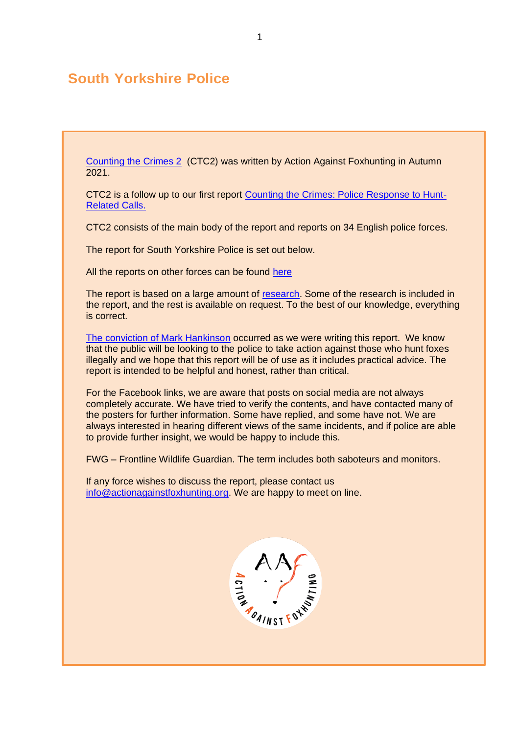# **South Yorkshire Police**

[Counting the Crimes 2](https://www.actionagainstfoxhunting.org/counting-the-crimes2-the-police-response/) (CTC2) was written by Action Against Foxhunting in Autumn 2021.

CTC2 is a follow up to our first report [Counting the Crimes: Police Response to Hunt-](https://www.actionagainstfoxhunting.org/counting-the-crimes/)[Related Calls.](https://www.actionagainstfoxhunting.org/counting-the-crimes/)

CTC2 consists of the main body of the report and reports on 34 English police forces.

The report for South Yorkshire Police is set out below.

All the reports on other forces can be found [here](https://www.actionagainstfoxhunting.org/counting-the-crimes2-the-police-response/)

The report is based on a large amount of [research.](https://www.actionagainstfoxhunting.org/wp-content/uploads/2021/11/A-1411-Research-for-CTC2.pdf) Some of the research is included in the report, and the rest is available on request. To the best of our knowledge, everything is correct.

[The conviction of Mark Hankinson](https://www.league.org.uk/news-and-resources/news/hunting-office-webinars-the-road-to-conviction/) occurred as we were writing this report. We know that the public will be looking to the police to take action against those who hunt foxes illegally and we hope that this report will be of use as it includes practical advice. The report is intended to be helpful and honest, rather than critical.

For the Facebook links, we are aware that posts on social media are not always completely accurate. We have tried to verify the contents, and have contacted many of the posters for further information. Some have replied, and some have not. We are always interested in hearing different views of the same incidents, and if police are able to provide further insight, we would be happy to include this.

FWG – Frontline Wildlife Guardian. The term includes both saboteurs and monitors.

If any force wishes to discuss the report, please contact us [info@actionagainstfoxhunting.org.](mailto:info@actionagainstfoxhunting.org) We are happy to meet on line.

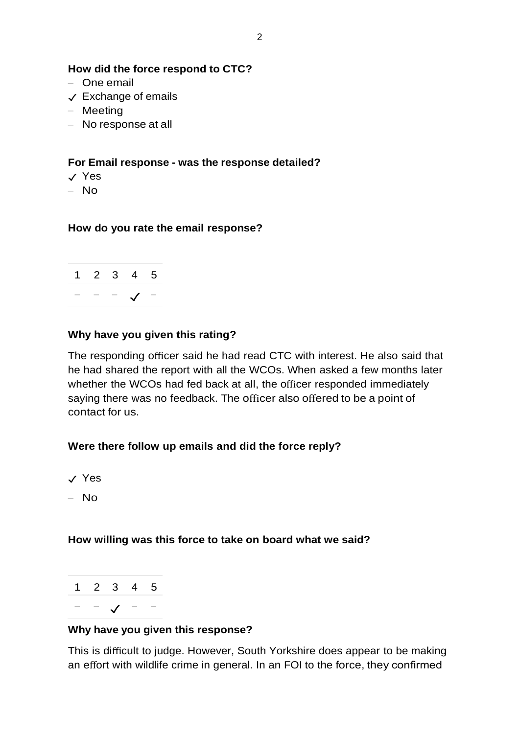#### **How did the force respond to CTC?**

- One email
- ✓ Exchange of emails
- Meeting
- No response at all

### **For Email response - was the response detailed?**

- ✓ Yes
- No

#### **How do you rate the email response?**



### **Why have you given this rating?**

The responding officer said he had read CTC with interest. He also said that he had shared the report with all the WCOs. When asked a few months later whether the WCOs had fed back at all, the officer responded immediately saying there was no feedback. The officer also offered to be a point of contact for us.

# **Were there follow up emails and did the force reply?**

- ✓ Yes
- No

#### **How willing was this force to take on board what we said?**



#### **Why have you given this response?**

This is difficult to judge. However, South Yorkshire does appear to be making an effort with wildlife crime in general. In an FOI to the force, they confirmed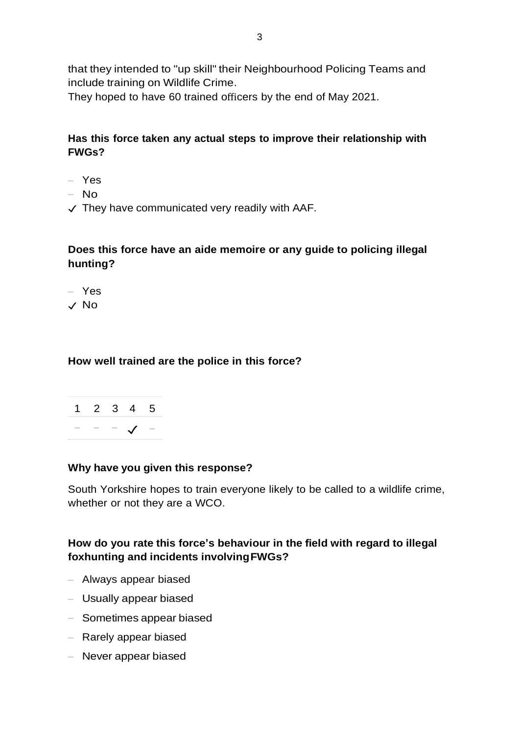that they intended to "up skill" their Neighbourhood Policing Teams and include training on Wildlife Crime.

They hoped to have 60 trained officers by the end of May 2021.

# **Has this force taken any actual steps to improve their relationship with FWGs?**

- Yes
- No
- $\checkmark$  They have communicated very readily with AAF.

# **Does this force have an aide memoire or any guide to policing illegal hunting?**

- Yes
- ✓ No

#### **How well trained are the police in this force?**



#### **Why have you given this response?**

South Yorkshire hopes to train everyone likely to be called to a wildlife crime, whether or not they are a WCO.

# **How do you rate this force's behaviour in the field with regard to illegal foxhunting and incidents involvingFWGs?**

- Always appear biased
- Usually appear biased
- Sometimes appear biased
- Rarely appear biased
- Never appear biased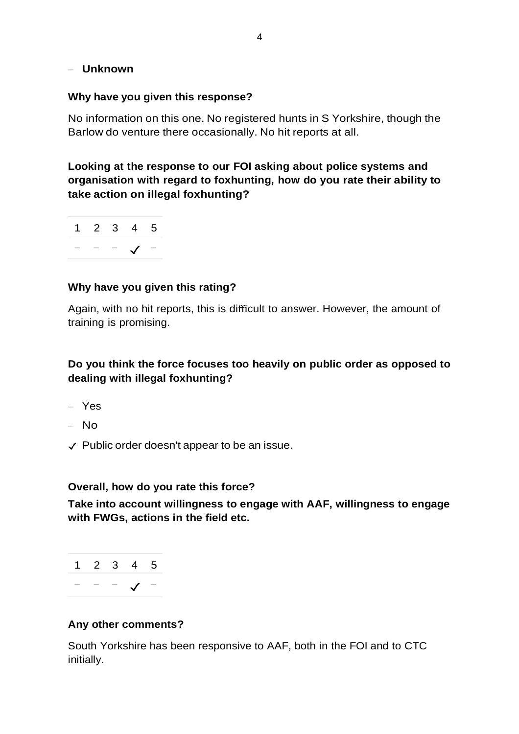### – **Unknown**

#### **Why have you given this response?**

No information on this one. No registered hunts in S Yorkshire, though the Barlow do venture there occasionally. No hit reports at all.

**Looking at the response to our FOI asking about police systems and organisation with regard to foxhunting, how do you rate their ability to take action on illegal foxhunting?**

1 2 3 4 5 − − − ✓ −

### **Why have you given this rating?**

Again, with no hit reports, this is difficult to answer. However, the amount of training is promising.

# **Do you think the force focuses too heavily on public order as opposed to dealing with illegal foxhunting?**

- Yes
- No
- ✓ Public order doesn't appear to be an issue.

#### **Overall, how do you rate this force?**

**Take into account willingness to engage with AAF, willingness to engage with FWGs, actions in the field etc.**

1 2 3 4 5 − − − ✓ −

#### **Any other comments?**

South Yorkshire has been responsive to AAF, both in the FOI and to CTC initially.